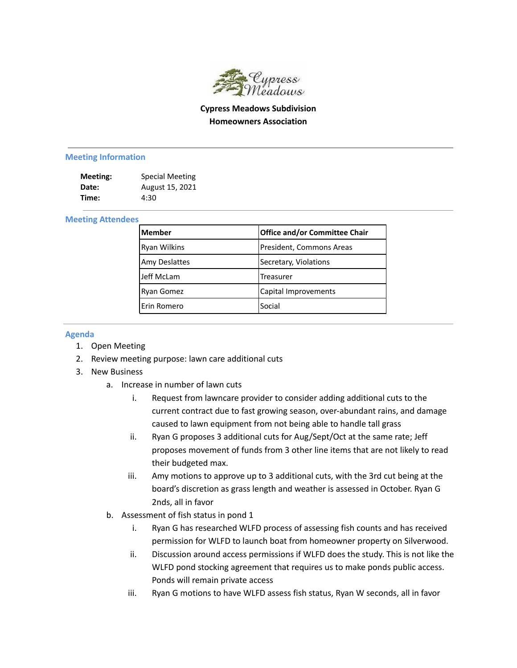

## **Cypress Meadows Subdivision Homeowners Association**

## **Meeting Information**

| Meeting: | <b>Special Meeting</b> |
|----------|------------------------|
| Date:    | August 15, 2021        |
| Time:    | 4:30                   |

## **Meeting Attendees**

| lMember              | Office and/or Committee Chair |
|----------------------|-------------------------------|
| <b>Ryan Wilkins</b>  | President, Commons Areas      |
| <b>Amy Deslattes</b> | Secretary, Violations         |
| Jeff McLam           | <b>Treasurer</b>              |
| Ryan Gomez           | Capital Improvements          |
| lErin Romero         | Social                        |

## **Agenda**

- 1. Open Meeting
- 2. Review meeting purpose: lawn care additional cuts
- 3. New Business
	- a. Increase in number of lawn cuts
		- i. Request from lawncare provider to consider adding additional cuts to the current contract due to fast growing season, over-abundant rains, and damage caused to lawn equipment from not being able to handle tall grass
		- ii. Ryan G proposes 3 additional cuts for Aug/Sept/Oct at the same rate; Jeff proposes movement of funds from 3 other line items that are not likely to read their budgeted max.
		- iii. Amy motions to approve up to 3 additional cuts, with the 3rd cut being at the board's discretion as grass length and weather is assessed in October. Ryan G 2nds, all in favor
	- b. Assessment of fish status in pond 1
		- i. Ryan G has researched WLFD process of assessing fish counts and has received permission for WLFD to launch boat from homeowner property on Silverwood.
		- ii. Discussion around access permissions if WLFD does the study. This is not like the WLFD pond stocking agreement that requires us to make ponds public access. Ponds will remain private access
		- iii. Ryan G motions to have WLFD assess fish status, Ryan W seconds, all in favor